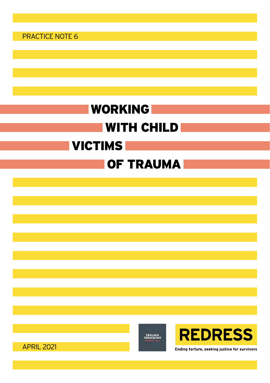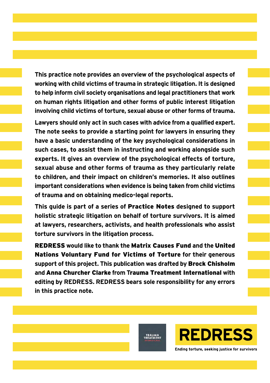**This practice note provides an overview of the psychological aspects of working with child victims of trauma in strategic litigation. It is designed to help inform civil society organisations and legal practitioners that work on human rights litigation and other forms of public interest litigation involving child victims of torture, sexual abuse or other forms of trauma.**

**Lawyers should only act in such cases with advice from a qualified expert. The note seeks to provide a starting point for lawyers in ensuring they have a basic understanding of the key psychological considerations in such cases, to assist them in instructing and working alongside such experts. It gives an overview of the psychological effects of torture, sexual abuse and other forms of trauma as they particularly relate to children, and their impact on children's memories. It also outlines important considerations when evidence is being taken from child victims of trauma and on obtaining medico-legal reports.**

**This guide is part of a series of** Practice Notes **designed to support holistic strategic litigation on behalf of torture survivors. It is aimed at lawyers, researchers, activists, and health professionals who assist torture survivors in the litigation process.**

REDRESS **would like to thank the** Matrix Causes Fund **and the** United Nations Voluntary Fund for Victims of Torture **for their generous support of this project. This publication was drafted by** Brock Chisholm **and** Anna Churcher Clarke **from T**rauma Treatment International **with editing by REDRESS. REDRESS bears sole responsibility for any errors in this practice note.**

TRAUMA<br>TREATMENT



**REDRESS** Ending torture, seeking justice for survivors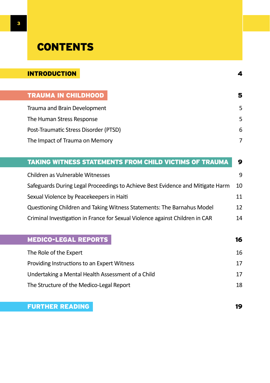# **CONTENTS**

| <b>INTRODUCTION</b>                   | 4 |
|---------------------------------------|---|
|                                       |   |
| <b>TRAUMA IN CHILDHOOD</b>            | 5 |
| Trauma and Brain Development          | 5 |
| The Human Stress Response             | 5 |
| Post-Traumatic Stress Disorder (PTSD) | 6 |
| The Impact of Trauma on Memory        |   |

| <b>TAKING WITNESS STATEMENTS FROM CHILD VICTIMS OF TRAUMA</b>                  | 9  |
|--------------------------------------------------------------------------------|----|
| Children as Vulnerable Witnesses                                               | 9  |
| Safeguards During Legal Proceedings to Achieve Best Evidence and Mitigate Harm | 10 |
| Sexual Violence by Peacekeepers in Haiti                                       | 11 |
| Questioning Children and Taking Witness Statements: The Barnahus Model         | 12 |
| Criminal Investigation in France for Sexual Violence against Children in CAR   | 14 |
|                                                                                |    |
| <b>MEDICO-LEGAL REPORTS</b>                                                    | 16 |
| The Role of the Expert                                                         | 16 |
| Providing Instructions to an Expert Witness                                    | 17 |
| Undertaking a Mental Health Assessment of a Child                              | 17 |
| The Structure of the Medico-Legal Report                                       | 18 |
|                                                                                |    |

### [FURTHER READING](#page-18-0) **19**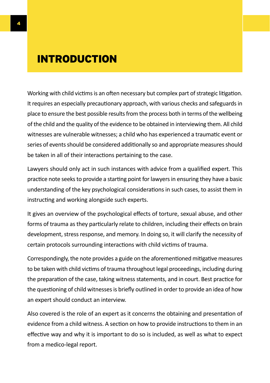## <span id="page-3-0"></span>INTRODUCTION

Working with child victims is an often necessary but complex part of strategic litigation. It requires an especially precautionary approach, with various checks and safeguards in place to ensure the best possible results from the process both in terms of the wellbeing of the child and the quality of the evidence to be obtained in interviewing them. All child witnesses are vulnerable witnesses; a child who has experienced a traumatic event or series of events should be considered additionally so and appropriate measures should be taken in all of their interactions pertaining to the case.

Lawyers should only act in such instances with advice from a qualified expert. This practice note seeks to provide a starting point for lawyers in ensuring they have a basic understanding of the key psychological considerations in such cases, to assist them in instructing and working alongside such experts.

It gives an overview of the psychological effects of torture, sexual abuse, and other forms of trauma as they particularly relate to children, including their effects on brain development, stress response, and memory. In doing so, it will clarify the necessity of certain protocols surrounding interactions with child victims of trauma.

Correspondingly, the note provides a guide on the aforementioned mitigative measures to be taken with child victims of trauma throughout legal proceedings, including during the preparation of the case, taking witness statements, and in court. Best practice for the questioning of child witnesses is briefly outlined in order to provide an idea of how an expert should conduct an interview.

Also covered is the role of an expert as it concerns the obtaining and presentation of evidence from a child witness. A section on how to provide instructions to them in an effective way and why it is important to do so is included, as well as what to expect from a medico-legal report.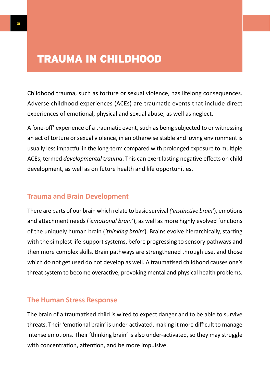## <span id="page-4-0"></span>TRAUMA IN CHILDHOOD

Childhood trauma, such as torture or sexual violence, has lifelong consequences. Adverse childhood experiences (ACEs) are traumatic events that include direct experiences of emotional, physical and sexual abuse, as well as neglect.

A 'one-off' experience of a traumatic event, such as being subjected to or witnessing an act of torture or sexual violence, in an otherwise stable and loving environment is usually less impactful in the long-term compared with prolonged exposure to multiple ACEs, termed *developmental trauma*. This can exert lasting negative effects on child development, as well as on future health and life opportunities.

#### **Trauma and Brain Development**

There are parts of our brain which relate to basic survival *('instinctive brain'*), emotions and attachment needs (*'emotional brain'*), as well as more highly evolved functions of the uniquely human brain (*'thinking brain'*). Brains evolve hierarchically, starting with the simplest life-support systems, before progressing to sensory pathways and then more complex skills. Brain pathways are strengthened through use, and those which do not get used do not develop as well. A traumatised childhood causes one's threat system to become overactive, provoking mental and physical health problems.

#### **The Human Stress Response**

The brain of a traumatised child is wired to expect danger and to be able to survive threats. Their 'emotional brain' is under-activated, making it more difficult to manage intense emotions. Their 'thinking brain' is also under-activated, so they may struggle with concentration, attention, and be more impulsive.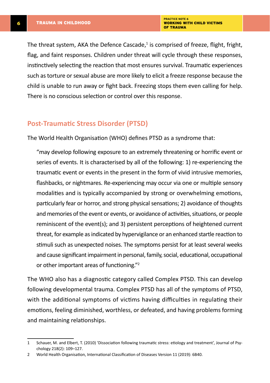The threat system, AKA the Defence Cascade,<sup>1</sup> is comprised of freeze, flight, fright, flag, and faint responses. Children under threat will cycle through these responses, instinctively selecting the reaction that most ensures survival. Traumatic experiences such as torture or sexual abuse are more likely to elicit a freeze response because the child is unable to run away or fight back. Freezing stops them even calling for help. There is no conscious selection or control over this response.

#### **Post-Traumatic Stress Disorder (PTSD)**

The World Health Organisation (WHO) defines PTSD as a syndrome that:

"may develop following exposure to an extremely threatening or horrific event or series of events. It is characterised by all of the following: 1) re-experiencing the traumatic event or events in the present in the form of vivid intrusive memories, flashbacks, or nightmares. Re-experiencing may occur via one or multiple sensory modalities and is typically accompanied by strong or overwhelming emotions, particularly fear or horror, and strong physical sensations; 2) avoidance of thoughts and memories of the event or events, or avoidance of activities, situations, or people reminiscent of the event(s); and 3) persistent perceptions of heightened current threat, for example as indicated by hypervigilance or an enhanced startle reaction to stimuli such as unexpected noises. The symptoms persist for at least several weeks and cause significant impairment in personal, family, social, educational, occupational or other important areas of functioning."2

The WHO also has a diagnostic category called Complex PTSD. This can develop following developmental trauma. Complex PTSD has all of the symptoms of PTSD, with the additional symptoms of victims having difficulties in regulating their emotions, feeling diminished, worthless, or defeated, and having problems forming and maintaining relationships.

<span id="page-5-0"></span>

<sup>1</sup> Schauer, M. and Elbert, T. (2010) 'Dissociation following traumatic stress: etiology and treatment', Journal of Psychology 218(2): 109–127.

<sup>2</sup> World Health Organisation, International Classification of Diseases Version 11 (2019): 6B40.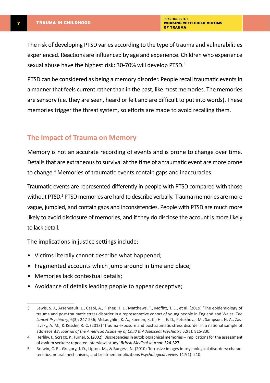<span id="page-6-0"></span>The risk of developing PTSD varies according to the type of trauma and vulnerabilities experienced. Reactions are influenced by age and experience. Children who experience sexual abuse have the highest risk: 30-70% will develop PTSD.<sup>3</sup>

PTSD can be considered as being a memory disorder. People recall traumatic events in a manner that feels current rather than in the past, like most memories. The memories are sensory (i.e. they are seen, heard or felt and are difficult to put into words). These memories trigger the threat system, so efforts are made to avoid recalling them.

#### **The Impact of Trauma on Memory**

Memory is not an accurate recording of events and is prone to change over time. Details that are extraneous to survival at the time of a traumatic event are more prone to change.4 Memories of traumatic events contain gaps and inaccuracies.

Traumatic events are represented differently in people with PTSD compared with those without PTSD.<sup>5</sup> PTSD memories are hard to describe verbally. Trauma memories are more vague, jumbled, and contain gaps and inconsistencies. People with PTSD are much more likely to avoid disclosure of memories, and if they do disclose the account is more likely to lack detail.

The implications in justice settings include:

- Victims literally cannot describe what happened;
- Fragmented accounts which jump around in time and place;
- Memories lack contextual details;
- Avoidance of details leading people to appear deceptive;

<sup>3</sup> Lewis, S. J., Arseneault, L., Caspi, A., Fisher, H. L., Matthews, T., Moffitt, T. E., et al. (2019) 'The epidemiology of trauma and post-traumatic stress disorder in a representative cohort of young people in England and Wales' *The Lancet Psychiatry*, 6(3): 247-256; McLaughlin, K. A., Koenen, K. C., Hill, E. D., Petukhova, M., Sampson, N. A., Zaslavsky, A. M., & Kessler, R. C. (2013) 'Trauma exposure and posttraumatic stress disorder in a national sample of adolescents', *Journal of the American Academy of Child & Adolescent Psychiatry* 52(8): 815-830.

<sup>4</sup> Herlihy, J., Scragg, P., Turner, S. (2002) 'Discrepancies in autobiographical memories – implications for the assessment of asylum seekers: repeated interviews study' *British Medical Journal:* 324-327.

<sup>5</sup> Brewin, C. R., Gregory, J. D., Lipton, M., & Burgess, N. (2010) 'Intrusive images in psychological disorders: characteristics, neural mechanisms, and treatment implications *Psychological review* 117(1): 210.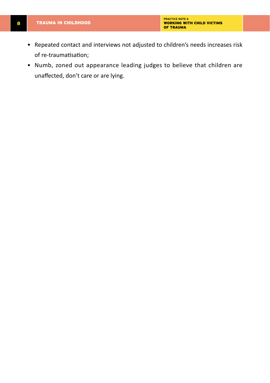- Repeated contact and interviews not adjusted to children's needs increases risk of re-traumatisation;
- Numb, zoned out appearance leading judges to believe that children are unaffected, don't care or are lying.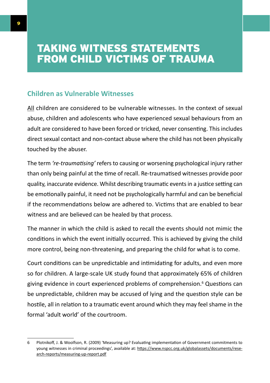## <span id="page-8-0"></span>TAKING WITNESS STATEMENTS FROM CHILD VICTIMS OF TRAUMA

### **Children as Vulnerable Witnesses**

All children are considered to be vulnerable witnesses. In the context of sexual abuse, children and adolescents who have experienced sexual behaviours from an adult are considered to have been forced or tricked, never consenting. This includes direct sexual contact and non-contact abuse where the child has not been physically touched by the abuser.

The term *'re-traumatising'* refers to causing or worsening psychological injury rather than only being painful at the time of recall. Re-traumatised witnesses provide poor quality, inaccurate evidence. Whilst describing traumatic events in a justice setting can be emotionally painful, it need not be psychologically harmful and can be beneficial if the recommendations below are adhered to. Victims that are enabled to bear witness and are believed can be healed by that process.

The manner in which the child is asked to recall the events should not mimic the conditions in which the event initially occurred. This is achieved by giving the child more control, being non-threatening, and preparing the child for what is to come.

Court conditions can be unpredictable and intimidating for adults, and even more so for children. A large-scale UK study found that approximately 65% of children giving evidence in court experienced problems of comprehension.6 Questions can be unpredictable, children may be accused of lying and the question style can be hostile, all in relation to a traumatic event around which they may feel shame in the formal 'adult world' of the courtroom.

<sup>6</sup> Plotnikoff, J. & Woolfson, R. (2009) 'Measuring up? Evaluating implementation of Government commitments to young witnesses in criminal proceedings', available at: [https://www.nspcc.org.uk/globalassets/documents/rese](https://www.nspcc.org.uk/globalassets/documents/research-reports/measuring-up-report.pdf)[arch-reports/measuring-up-report.pdf](https://www.nspcc.org.uk/globalassets/documents/research-reports/measuring-up-report.pdf)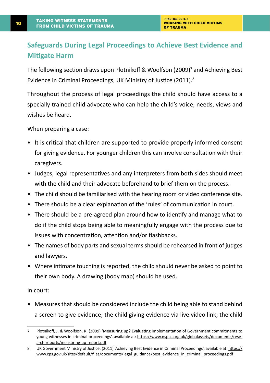### <span id="page-9-0"></span>**Safeguards During Legal Proceedings to Achieve Best Evidence and Mitigate Harm**

The following section draws upon Plotnikoff & Woolfson (2009)7 and Achieving Best Evidence in Criminal Proceedings, UK Ministry of Justice (2011).8

Throughout the process of legal proceedings the child should have access to a specially trained child advocate who can help the child's voice, needs, views and wishes be heard.

When preparing a case:

- It is critical that children are supported to provide properly informed consent for giving evidence. For younger children this can involve consultation with their caregivers.
- Judges, legal representatives and any interpreters from both sides should meet with the child and their advocate beforehand to brief them on the process.
- The child should be familiarised with the hearing room or video conference site.
- There should be a clear explanation of the 'rules' of communication in court.
- There should be a pre-agreed plan around how to identify and manage what to do if the child stops being able to meaningfully engage with the process due to issues with concentration, attention and/or flashbacks.
- The names of body parts and sexual terms should be rehearsed in front of judges and lawyers.
- Where intimate touching is reported, the child should never be asked to point to their own body. A drawing (body map) should be used.

In court:

• Measures that should be considered include the child being able to stand behind a screen to give evidence; the child giving evidence via live video link; the child

<sup>7</sup> Plotnikoff, J. & Woolfson, R. (2009) 'Measuring up? Evaluating implementation of Government commitments to young witnesses in criminal proceedings', available at: [https://www.nspcc.org.uk/globalassets/documents/rese](https://www.nspcc.org.uk/globalassets/documents/research-reports/measuring-up-report.pdf)[arch-reports/measuring-up-report.pdf](https://www.nspcc.org.uk/globalassets/documents/research-reports/measuring-up-report.pdf)

<sup>8</sup> UK Government Ministry of Justice. (2011) 'Achieving Best Evidence in Criminal Proceedings', available at: [https://](https://www.cps.gov.uk/sites/default/files/documents/legal_guidance/best_evidence_in_criminal_proceedings.pdf) [www.cps.gov.uk/sites/default/files/documents/legal\\_guidance/best\\_evidence\\_in\\_criminal\\_proceedings.pdf](https://www.cps.gov.uk/sites/default/files/documents/legal_guidance/best_evidence_in_criminal_proceedings.pdf)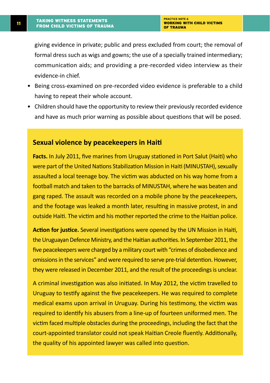<span id="page-10-0"></span>giving evidence in private; public and press excluded from court; the removal of formal dress such as wigs and gowns; the use of a specially trained intermediary; communication aids; and providing a pre-recorded video interview as their evidence-in chief.

- Being cross-examined on pre-recorded video evidence is preferable to a child having to repeat their whole account.
- Children should have the opportunity to review their previously recorded evidence and have as much prior warning as possible about questions that will be posed.

#### **Sexual violence by peacekeepers in Haiti**

**Facts.** In July 2011, five marines from Uruguay stationed in Port Salut (Haiti) who were part of the United Nations Stabilization Mission in Haiti (MINUSTAH), sexually assaulted a local teenage boy. The victim was abducted on his way home from a football match and taken to the barracks of MINUSTAH, where he was beaten and gang raped. The assault was recorded on a mobile phone by the peacekeepers, and the footage was leaked a month later, resulting in massive protest, in and outside Haiti. The victim and his mother reported the crime to the Haitian police.

**Action for justice.** Several investigations were opened by the UN Mission in Haiti, the Uruguayan Defence Ministry, and the Haitian authorities. In September 2011, the five peacekeepers were charged by a military court with "crimes of disobedience and omissions in the services" and were required to serve pre-trial detention. However, they were released in December 2011, and the result of the proceedings is unclear.

A criminal investigation was also initiated. In May 2012, the victim travelled to Uruguay to testify against the five peacekeepers. He was required to complete medical exams upon arrival in Uruguay. During his testimony, the victim was required to identify his abusers from a line-up of fourteen uniformed men. The victim faced multiple obstacles during the proceedings, including the fact that the court-appointed translator could not speak Haitian Creole fluently. Additionally, the quality of his appointed lawyer was called into question.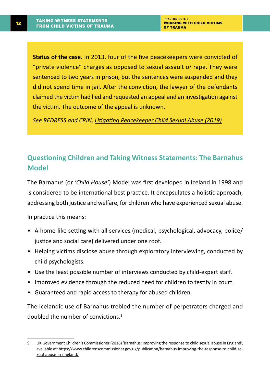<span id="page-11-0"></span>**Status of the case.** In 2013, four of the five peacekeepers were convicted of "private violence" charges as opposed to sexual assault or rape. They were sentenced to two years in prison, but the sentences were suspended and they did not spend time in jail. After the conviction, the lawyer of the defendants claimed the victim had lied and requested an appeal and an investigation against the victim. The outcome of the appeal is unknown.

*See REDRESS and CRIN, [Litigating Peacekeeper Child Sexual Abuse \(2019\)](https://redress.org/publication/litigating-peacekeeper-child-sexual-abuse/)*

### **Questioning Children and Taking Witness Statements: The Barnahus Model**

The Barnahus (or *'Child House'*) Model was first developed in Iceland in 1998 and is considered to be international best practice. It encapsulates a holistic approach, addressing both justice and welfare, for children who have experienced sexual abuse.

In practice this means:

- A home-like setting with all services (medical, psychological, advocacy, police/ justice and social care) delivered under one roof.
- Helping victims disclose abuse through exploratory interviewing, conducted by child psychologists.
- Use the least possible number of interviews conducted by child-expert staff.
- Improved evidence through the reduced need for children to testify in court.
- Guaranteed and rapid access to therapy for abused children.

The Icelandic use of Barnahus trebled the number of perpetrators charged and doubled the number of convictions.<sup>9</sup>

<sup>9</sup> UK Government Children's Commissioner (2016) 'Barnahus: Improving the response to child sexual abuse in England', available at: [https://www.childrenscommissioner.gov.uk/publication/barnahus-improving-the-response-to-child-se](https://www.childrenscommissioner.gov.uk/publication/barnahus-improving-the-response-to-child-sexual-abuse-in-england/)[xual-abuse-in-england/](https://www.childrenscommissioner.gov.uk/publication/barnahus-improving-the-response-to-child-sexual-abuse-in-england/)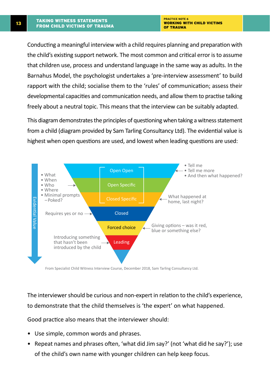Conducting a meaningful interview with a child requires planning and preparation with the child's existing support network. The most common and critical error is to assume that children use, process and understand language in the same way as adults. In the Barnahus Model, the psychologist undertakes a 'pre-interview assessment' to build rapport with the child; socialise them to the 'rules' of communication; assess their developmental capacities and communication needs, and allow them to practise talking freely about a neutral topic. This means that the interview can be suitably adapted.

This diagram demonstrates the principles of questioning when taking a witness statement from a child (diagram provided by Sam Tarling Consultancy Ltd). The evidential value is highest when open questions are used, and lowest when leading questions are used:



From Specialist Child Witness Interview Course, December 2018, Sam Tarling Consultancy Ltd.

The interviewer should be curious and non-expert in relation to the child's experience, to demonstrate that the child themselves is 'the expert' on what happened.

Good practice also means that the interviewer should:

- Use simple, common words and phrases.
- Repeat names and phrases often, 'what did Jim say?' (not 'what did he say?'); use of the child's own name with younger children can help keep focus.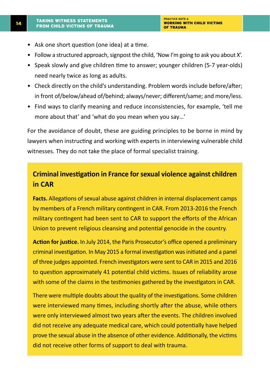- <span id="page-13-0"></span>• Ask one short question (one idea) at a time.
- Follow a structured approach, signpost the child, 'Now I'm going to ask you about X'.
- Speak slowly and give children time to answer; younger children (5-7 year-olds) need nearly twice as long as adults.
- Check directly on the child's understanding. Problem words include before/after; in front of/below/ahead of/behind; always/never; different/same; and more/less.
- Find ways to clarify meaning and reduce inconsistencies, for example, 'tell me more about that' and 'what do you mean when you say…'

For the avoidance of doubt, these are guiding principles to be borne in mind by lawyers when instructing and working with experts in interviewing vulnerable child witnesses. They do not take the place of formal specialist training.

### **Criminal investigation in France for sexual violence against children in CAR**

**Facts.** Allegations of sexual abuse against children in internal displacement camps by members of a French military contingent in CAR. From 2013-2016 the French military contingent had been sent to CAR to support the efforts of the African Union to prevent religious cleansing and potential genocide in the country.

**Action for justice.** In July 2014, the Paris Prosecutor's office opened a preliminary criminal investigation. In May 2015 a formal investigation was initiated and a panel of three judges appointed. French investigators were sent to CAR in 2015 and 2016 to question approximately 41 potential child victims. Issues of reliability arose with some of the claims in the testimonies gathered by the investigators in CAR.

There were multiple doubts about the quality of the investigations. Some children were interviewed many times, including shortly after the abuse, while others were only interviewed almost two years after the events. The children involved did not receive any adequate medical care, which could potentially have helped prove the sexual abuse in the absence of other evidence. Additionally, the victims did not receive other forms of support to deal with trauma.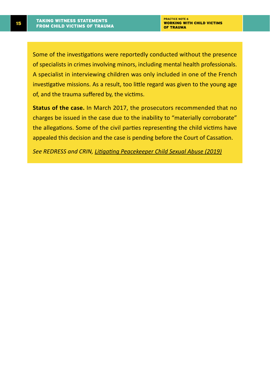Some of the investigations were reportedly conducted without the presence of specialists in crimes involving minors, including mental health professionals. A specialist in interviewing children was only included in one of the French investigative missions. As a result, too little regard was given to the young age of, and the trauma suffered by, the victims.

**Status of the case.** In March 2017, the prosecutors recommended that no charges be issued in the case due to the inability to "materially corroborate" the allegations. Some of the civil parties representing the child victims have appealed this decision and the case is pending before the Court of Cassation.

*See REDRESS and CRIN, [Litigating Peacekeeper Child Sexual Abuse \(2019\)](https://redress.org/publication/litigating-peacekeeper-child-sexual-abuse/)*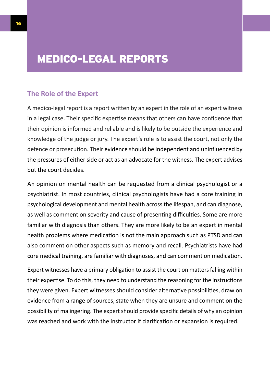## <span id="page-15-0"></span>MEDICO-LEGAL REPORTS

#### **The Role of the Expert**

A medico-legal report is a report written by an expert in the role of an expert witness in a legal case. Their specific expertise means that others can have confidence that their opinion is informed and reliable and is likely to be outside the experience and knowledge of the judge or jury. The expert's role is to assist the court, not only the defence or prosecution. Their evidence should be independent and uninfluenced by the pressures of either side or act as an advocate for the witness. The expert advises but the court decides.

An opinion on mental health can be requested from a clinical psychologist or a psychiatrist. In most countries, clinical psychologists have had a core training in psychological development and mental health across the lifespan, and can diagnose, as well as comment on severity and cause of presenting difficulties. Some are more familiar with diagnosis than others. They are more likely to be an expert in mental health problems where medication is not the main approach such as PTSD and can also comment on other aspects such as memory and recall. Psychiatrists have had core medical training, are familiar with diagnoses, and can comment on medication.

Expert witnesses have a primary obligation to assist the court on matters falling within their expertise. To do this, they need to understand the reasoning for the instructions they were given. Expert witnesses should consider alternative possibilities, draw on evidence from a range of sources, state when they are unsure and comment on the possibility of malingering. The expert should provide specific details of why an opinion was reached and work with the instructor if clarification or expansion is required.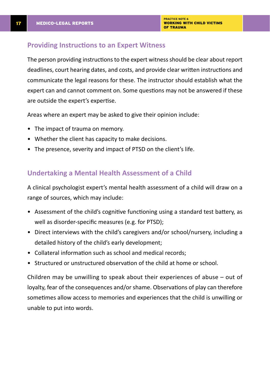#### <span id="page-16-0"></span>**Providing Instructions to an Expert Witness**

The person providing instructions to the expert witness should be clear about report deadlines, court hearing dates, and costs, and provide clear written instructions and communicate the legal reasons for these. The instructor should establish what the expert can and cannot comment on. Some questions may not be answered if these are outside the expert's expertise.

Areas where an expert may be asked to give their opinion include:

- The impact of trauma on memory.
- Whether the client has capacity to make decisions.
- The presence, severity and impact of PTSD on the client's life.

#### **Undertaking a Mental Health Assessment of a Child**

A clinical psychologist expert's mental health assessment of a child will draw on a range of sources, which may include:

- Assessment of the child's cognitive functioning using a standard test battery, as well as disorder-specific measures (e.g. for PTSD);
- Direct interviews with the child's caregivers and/or school/nursery, including a detailed history of the child's early development;
- Collateral information such as school and medical records;
- Structured or unstructured observation of the child at home or school.

Children may be unwilling to speak about their experiences of abuse – out of loyalty, fear of the consequences and/or shame. Observations of play can therefore sometimes allow access to memories and experiences that the child is unwilling or unable to put into words.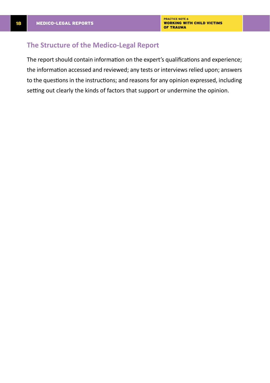#### <span id="page-17-0"></span>**The Structure of the Medico-Legal Report**

The report should contain information on the expert's qualifications and experience; the information accessed and reviewed; any tests or interviews relied upon; answers to the questions in the instructions; and reasons for any opinion expressed, including setting out clearly the kinds of factors that support or undermine the opinion.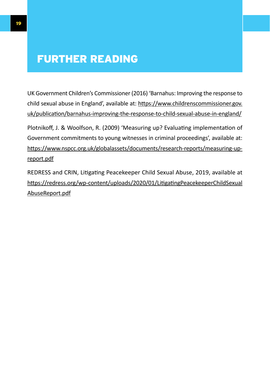## <span id="page-18-0"></span>FURTHER READING

UK Government Children's Commissioner (2016) 'Barnahus: Improving the response to child sexual abuse in England', available at: [https://www.childrenscommissioner.gov.](https://www.childrenscommissioner.gov.uk/publication/barnahus-improving-the-response-to-child-sexual-abuse-in-england/) [uk/publication/barnahus-improving-the-response-to-child-sexual-abuse-in-england/](https://www.childrenscommissioner.gov.uk/publication/barnahus-improving-the-response-to-child-sexual-abuse-in-england/)

Plotnikoff, J. & Woolfson, R. (2009) 'Measuring up? Evaluating implementation of Government commitments to young witnesses in criminal proceedings', available at: [https://www.nspcc.org.uk/globalassets/documents/research-reports/measuring-up](https://www.nspcc.org.uk/globalassets/documents/research-reports/measuring-up-report.pdf)[report.pdf](https://www.nspcc.org.uk/globalassets/documents/research-reports/measuring-up-report.pdf)

REDRESS and CRIN, Litigating Peacekeeper Child Sexual Abuse, 2019, available at [https://redress.org/wp-content/uploads/2020/01/LitigatingPeacekeeperChildSexual](https://redress.org/wp-content/uploads/2020/01/LitigatingPeacekeeperChildSexualAbuseReport.pdf) [AbuseReport.pdf](https://redress.org/wp-content/uploads/2020/01/LitigatingPeacekeeperChildSexualAbuseReport.pdf)